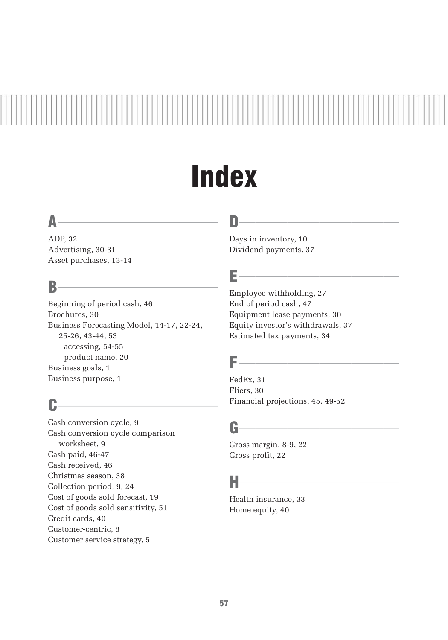# **Index**

### $\mathsf{A}$  and  $\mathsf{A}$  and  $\mathsf{A}$  and  $\mathsf{A}$  and  $\mathsf{A}$  and  $\mathsf{A}$  and  $\mathsf{A}$  and  $\mathsf{A}$  and  $\mathsf{A}$  and  $\mathsf{A}$  and  $\mathsf{A}$  and  $\mathsf{A}$  and  $\mathsf{A}$  and  $\mathsf{A}$  and  $\mathsf{A}$  and  $\mathsf{A}$  and  $\mathsf{A}$  and

ADP, 32 Advertising, 30-31 Asset purchases, 13-14

#### $B$

Beginning of period cash, 46 Brochures, 30 Business Forecasting Model, 14-17, 22-24, 25-26, 43-44, 53 accessing, 54-55 product name, 20 Business goals, 1 Business purpose, 1

### $c$   $\overline{\phantom{a}}$

Cash conversion cycle, 9 Cash conversion cycle comparison worksheet, 9 Cash paid, 46-47 Cash received, 46 Christmas season, 38 Collection period, 9, 24 Cost of goods sold forecast, 19 Cost of goods sold sensitivity, 51 Credit cards, 40 Customer-centric, 8 Customer service strategy, 5

### D\_\_\_\_\_\_\_\_\_\_\_\_\_\_\_\_\_\_\_\_

Days in inventory, 10 Dividend payments, 37

### $E$  and the set of  $E$  and  $E$  and  $E$  and  $E$  and  $E$  and  $E$  and  $E$  and  $E$  and  $E$  and  $E$  and  $E$

Employee withholding, 27 End of period cash, 47 Equipment lease payments, 30 Equity investor's withdrawals, 37 Estimated tax payments, 34

### $F$  and the set of  $\overline{F}$  and  $\overline{F}$  are  $\overline{F}$  and  $\overline{F}$  and  $\overline{F}$

FedEx, 31 Fliers, 30 Financial projections, 45, 49-52

### $G$  and a set of  $\overline{G}$  and  $\overline{G}$  and  $\overline{G}$  are  $\overline{G}$  and  $\overline{G}$  and  $\overline{G}$  are  $\overline{G}$  and  $\overline{G}$  and  $\overline{G}$  are  $\overline{G}$  and  $\overline{G}$  and  $\overline{G}$  are  $\overline{G}$  and  $\overline{G}$  and  $\overline{G}$  are  $\overline{G}$

Gross margin, 8-9, 22 Gross profit, 22

### $H$  and the set of  $H$  and  $H$  and  $H$  and  $H$  and  $H$  and  $H$  and  $H$  and  $H$

Health insurance, 33 Home equity, 40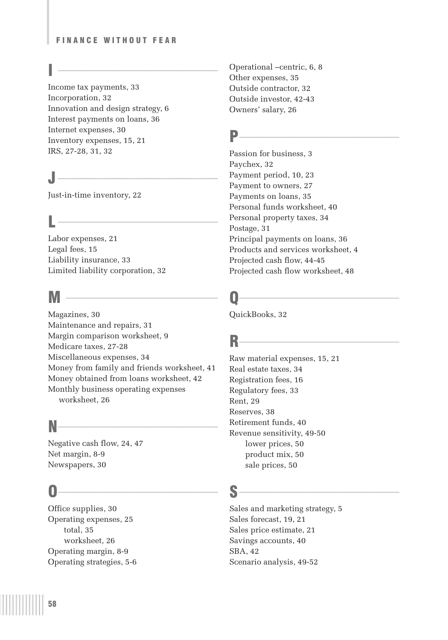#### FINANCE WITHOUT FEAR

### $\overline{a}$   $\overline{b}$   $\overline{b}$   $\overline{b}$   $\overline{c}$   $\overline{c}$   $\overline{d}$   $\overline{d}$   $\overline{d}$   $\overline{d}$   $\overline{d}$   $\overline{d}$   $\overline{d}$   $\overline{d}$   $\overline{d}$   $\overline{d}$   $\overline{d}$   $\overline{d}$   $\overline{d}$   $\overline{d}$   $\overline{d}$   $\overline{d}$   $\overline{d}$   $\overline{d}$   $\overline{$

Income tax payments, 33 Incorporation, 32 Innovation and design strategy, 6 Interest payments on loans, 36 Internet expenses, 30 Inventory expenses, 15, 21 IRS, 27-28, 31, 32

### $\mathsf{J}$   $\overbrace{\phantom{a}}$

Just-in-time inventory, 22

### $L$   $\overline{\phantom{a}}$

Labor expenses, 21 Legal fees, 15 Liability insurance, 33 Limited liability corporation, 32

### $M \longrightarrow$

Magazines, 30 Maintenance and repairs, 31 Margin comparison worksheet, 9 Medicare taxes, 27-28 Miscellaneous expenses, 34 Money from family and friends worksheet, 41 Money obtained from loans worksheet, 42 Monthly business operating expenses worksheet, 26

### $N$

Negative cash flow, 24, 47 Net margin, 8-9 Newspapers, 30

### $\mathbf{0}$   $\overline{\phantom{0}0}$

Office supplies, 30 Operating expenses, 25 total, 35 worksheet, 26 Operating margin, 8-9 Operating strategies, 5-6 Operational –centric, 6, 8 Other expenses, 35 Outside contractor, 32 Outside investor, 42-43 Owners' salary, 26

### **P\_\_\_\_\_\_\_\_\_\_\_\_\_\_\_\_\_\_\_\_\_\_\_\_**

Passion for business, 3 Paychex, 32 Payment period, 10, 23 Payment to owners, 27 Payments on loans, 35 Personal funds worksheet, 40 Personal property taxes, 34 Postage, 31 Principal payments on loans, 36 Products and services worksheet, 4 Projected cash flow, 44-45 Projected cash flow worksheet, 48

### $\mathbf{Q}$

QuickBooks, 32

## $R$  and  $\overline{R}$  and  $\overline{R}$  and  $\overline{R}$  and  $\overline{R}$  and  $\overline{R}$  and  $\overline{R}$  and  $\overline{R}$  and  $\overline{R}$  and  $\overline{R}$  and  $\overline{R}$  and  $\overline{R}$  and  $\overline{R}$  and  $\overline{R}$  and  $\overline{R}$  and  $\overline{R}$  and  $\overline{R}$  and  $\overline{$

Raw material expenses, 15, 21 Real estate taxes, 34 Registration fees, 16 Regulatory fees, 33 Rent, 29 Reserves, 38 Retirement funds, 40 Revenue sensitivity, 49-50 lower prices, 50 product mix, 50 sale prices, 50

### S\_\_\_\_\_\_\_\_\_\_\_\_\_\_\_\_\_\_\_\_

Sales and marketing strategy, 5 Sales forecast, 19, 21 Sales price estimate, 21 Savings accounts, 40 SBA, 42 Scenario analysis, 49-52